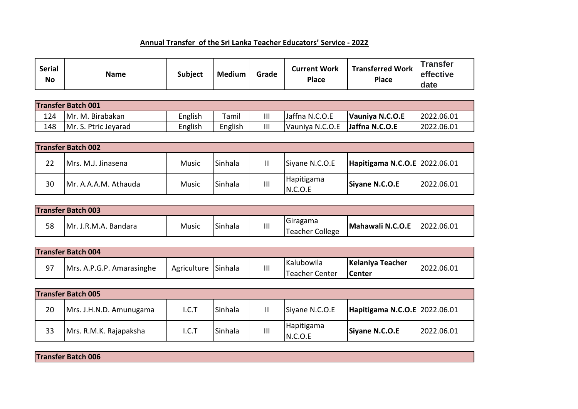## **Annual Transfer of the Sri Lanka Teacher Educators' Service - 2022**

| <b>Serial</b><br><b>No</b> | <b>Name</b>               | <b>Subject</b> | <b>Medium</b> | Grade | <b>Current Work</b><br><b>Place</b> | <b>Transferred Work</b><br><b>Place</b> | <b>Transfer</b><br>effective<br>date |
|----------------------------|---------------------------|----------------|---------------|-------|-------------------------------------|-----------------------------------------|--------------------------------------|
|                            |                           |                |               |       |                                     |                                         |                                      |
|                            | <b>Transfer Batch 001</b> |                |               |       |                                     |                                         |                                      |
| 124                        | Mr. M. Birabakan          | English        | Tamil         | Ш     | Jaffna N.C.O.E                      | Vauniya N.C.O.E                         | 2022.06.01                           |
| 148                        | Mr. S. Ptric Jeyarad      | English        | English       | Ш     | Vauniya N.C.O.E                     | Jaffna N.C.O.E                          | 2022.06.01                           |

|    | <b>Transfer Batch 002</b> |              |                |   |                       |                               |            |
|----|---------------------------|--------------|----------------|---|-----------------------|-------------------------------|------------|
| 22 | Mrs. M.J. Jinasena        | Music        | <b>Sinhala</b> |   | Siyane N.C.O.E        | Hapitigama N.C.O.E 2022.06.01 |            |
| 30 | Mr. A.A.A.M. Athauda      | <b>Music</b> | <b>Sinhala</b> | Ш | Hapitigama<br>N.C.O.E | Siyane N.C.O.E                | 2022.06.01 |

|    | <b>Transfer Batch 003</b> |              |         |   |                             |                  |            |
|----|---------------------------|--------------|---------|---|-----------------------------|------------------|------------|
| 58 | JMr. J.R.M.A. Bandara     | <b>Music</b> | Sinhala | Ш | Giragama<br>Teacher College | Mahawali N.C.O.E | 2022.06.01 |

|    | <b>Transfer Batch 004</b> |                     |   |                |                  |            |
|----|---------------------------|---------------------|---|----------------|------------------|------------|
| 97 |                           | Agriculture Sinhala |   | Kalubowila     | Kelaniya Teacher | 2022.06.01 |
|    | Mrs. A.P.G.P. Amarasinghe |                     | Ш | Teacher Center | <b>ICenter</b>   |            |

|    | <b>Transfer Batch 005</b> |       |                  |               |                       |                               |            |
|----|---------------------------|-------|------------------|---------------|-----------------------|-------------------------------|------------|
| 20 | Mrs. J.H.N.D. Amunugama   | I.C.T | <b>I</b> Sinhala | $\mathbf{II}$ | Siyane N.C.O.E        | Hapitigama N.C.O.E 2022.06.01 |            |
| 33 | Mrs. R.M.K. Rajapaksha    | I.C.T | <b>I</b> Sinhala | Ш             | Hapitigama<br>N.C.O.E | Siyane N.C.O.E                | 2022.06.01 |

**Transfer Batch 006**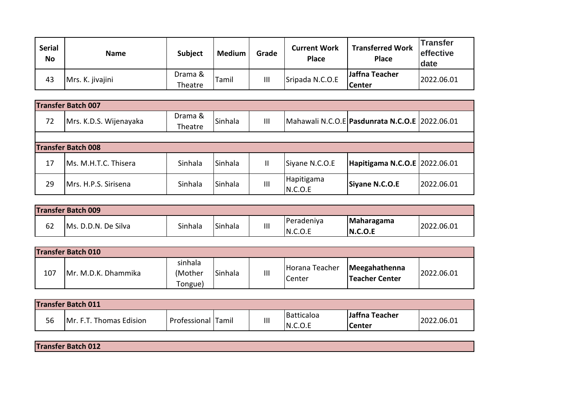| <b>Serial</b><br><b>No</b> | <b>Name</b>      | <b>Subject</b>     | <b>Medium</b> | Grade | <b>Current Work</b><br><b>Place</b> | <b>Transferred Work</b><br><b>Place</b> | <b>Transfer</b><br><b>effective</b><br>date |
|----------------------------|------------------|--------------------|---------------|-------|-------------------------------------|-----------------------------------------|---------------------------------------------|
| 43                         | Mrs. K. jivajini | Drama &<br>Theatre | Tamil         | Ш     | Sripada N.C.O.E                     | Jaffna Teacher<br><b>Center</b>         | 2022.06.01                                  |

|    | <b>Transfer Batch 007</b> |         |                |                |                       |                                                  |            |
|----|---------------------------|---------|----------------|----------------|-----------------------|--------------------------------------------------|------------|
| 72 | Mrs. K.D.S. Wijenayaka    | Drama & | Sinhala        | $\mathbf{III}$ |                       | Mahawali N.C.O.E   Pasdunrata N.C.O.E 2022.06.01 |            |
|    |                           | Theatre |                |                |                       |                                                  |            |
|    |                           |         |                |                |                       |                                                  |            |
|    | <b>Transfer Batch 008</b> |         |                |                |                       |                                                  |            |
| 17 | Ms. M.H.T.C. Thisera      | Sinhala | <b>Sinhala</b> | Ш              | Siyane N.C.O.E        | Hapitigama N.C.O.E 2022.06.01                    |            |
| 29 | Mrs. H.P.S. Sirisena      | Sinhala | Sinhala        | $\mathbf{  }$  | Hapitigama<br>N.C.O.E | Siyane N.C.O.E                                   | 2022.06.01 |

|    | <b>Transfer Batch 009</b> |         |                |   |            |            |            |
|----|---------------------------|---------|----------------|---|------------|------------|------------|
| 62 | Ms. D.D.N. De Silva       | Sinhala | <b>Sinhala</b> | Ш | Peradeniya | Maharagama | 2022.06.01 |
|    |                           |         |                |   | IN.C.O.E   | N.C.O.E    |            |

|     | <b>Transfer Batch 010</b> |                               |         |   |                          |                                 |            |
|-----|---------------------------|-------------------------------|---------|---|--------------------------|---------------------------------|------------|
| 107 | Mr. M.D.K. Dhammika       | sinhala<br>(Mother<br>Tongue) | Sinhala | Ш | Horana Teacher<br>Center | Meegahathenna<br>Teacher Center | 2022.06.01 |

|    | <b>Transfer Batch 011</b>      |              |               |   |            |                |            |
|----|--------------------------------|--------------|---------------|---|------------|----------------|------------|
| 56 |                                |              | <b>ITamil</b> |   | Batticaloa | Jaffna Teacher | 2022.06.01 |
|    | <b>Mr. F.T. Thomas Edision</b> | Professional |               | Ш | N.C.O.E    | <b>Center</b>  |            |

**Transfer Batch 012**